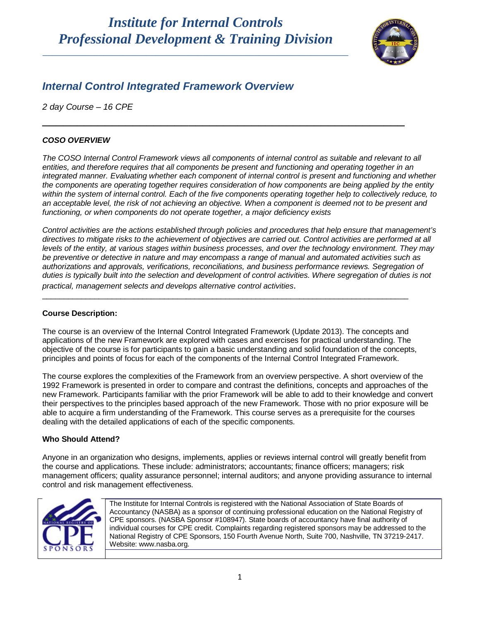## *Institute for Internal Controls Professional Development & Training Division*

\_\_\_\_\_\_\_\_\_\_\_\_\_\_\_\_\_\_\_\_\_\_\_\_\_\_\_\_\_\_\_\_\_\_\_\_\_\_\_\_\_\_\_\_\_\_\_\_\_\_\_\_\_\_\_\_\_\_\_\_\_\_\_\_\_



## *Internal Control Integrated Framework Overview*

*2 day Course – 16 CPE*

#### *COSO OVERVIEW*

*The COSO Internal Control Framework views all components of internal control as suitable and relevant to all entities, and therefore requires that all components be present and functioning and operating together in an integrated manner. Evaluating whether each component of internal control is present and functioning and whether the components are operating together requires consideration of how components are being applied by the entity within the system of internal control. Each of the five components operating together help to collectively reduce, to an acceptable level, the risk of not achieving an objective. When a component is deemed not to be present and functioning, or when components do not operate together, a major deficiency exists*

\_\_\_\_\_\_\_\_\_\_\_\_\_\_\_\_\_\_\_\_\_\_\_\_\_\_\_\_\_\_\_\_\_\_\_\_\_\_\_\_\_\_\_\_\_\_\_\_\_\_\_\_

*Control activities are the actions established through policies and procedures that help ensure that management's directives to mitigate risks to the achievement of objectives are carried out. Control activities are performed at all levels of the entity, at various stages within business processes, and over the technology environment. They may be preventive or detective in nature and may encompass a range of manual and automated activities such as authorizations and approvals, verifications, reconciliations, and business performance reviews. Segregation of duties is typically built into the selection and development of control activities. Where segregation of duties is not practical, management selects and develops alternative control activities*.

#### **Course Description:**

The course is an overview of the Internal Control Integrated Framework (Update 2013). The concepts and applications of the new Framework are explored with cases and exercises for practical understanding. The objective of the course is for participants to gain a basic understanding and solid foundation of the concepts, principles and points of focus for each of the components of the Internal Control Integrated Framework.

\_\_\_\_\_\_\_\_\_\_\_\_\_\_\_\_\_\_\_\_\_\_\_\_\_\_\_\_\_\_\_\_\_\_\_\_\_\_\_\_\_\_\_\_\_\_\_\_\_\_\_\_\_\_\_\_\_\_\_\_\_\_\_\_\_\_\_\_\_\_\_\_\_\_\_\_\_\_\_\_\_\_\_\_

The course explores the complexities of the Framework from an overview perspective. A short overview of the 1992 Framework is presented in order to compare and contrast the definitions, concepts and approaches of the new Framework. Participants familiar with the prior Framework will be able to add to their knowledge and convert their perspectives to the principles based approach of the new Framework. Those with no prior exposure will be able to acquire a firm understanding of the Framework. This course serves as a prerequisite for the courses dealing with the detailed applications of each of the specific components.

#### **Who Should Attend?**

Anyone in an organization who designs, implements, applies or reviews internal control will greatly benefit from the course and applications. These include: administrators; accountants; finance officers; managers; risk management officers; quality assurance personnel; internal auditors; and anyone providing assurance to internal control and risk management effectiveness.



The Institute for Internal Controls is registered with the National Association of State Boards of Accountancy (NASBA) as a sponsor of continuing professional education on the National Registry of CPE sponsors. (NASBA Sponsor #108947). State boards of accountancy have final authority of individual courses for CPE credit. Complaints regarding registered sponsors may be addressed to the National Registry of CPE Sponsors, 150 Fourth Avenue North, Suite 700, Nashville, TN 37219-2417. Website: [www.nasba.org.](http://www.nasba.org/)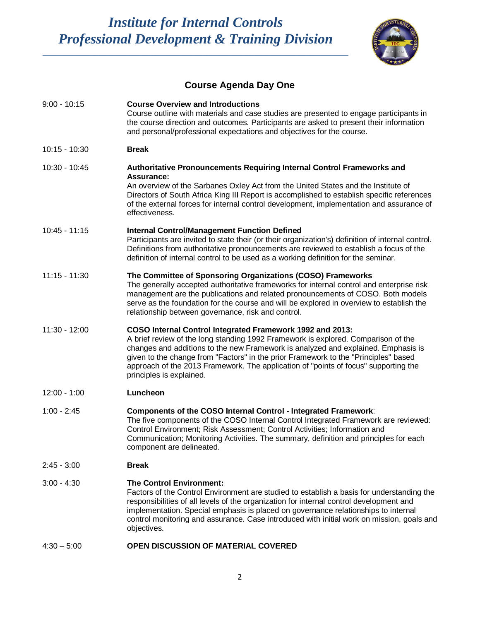# *Institute for Internal Controls Professional Development & Training Division*

\_\_\_\_\_\_\_\_\_\_\_\_\_\_\_\_\_\_\_\_\_\_\_\_\_\_\_\_\_\_\_\_\_\_\_\_\_\_\_\_\_\_\_\_\_\_\_\_\_\_\_\_\_\_\_\_\_\_\_\_\_\_\_\_\_



### **Course Agenda Day One**

| $9:00 - 10:15$  | <b>Course Overview and Introductions</b><br>Course outline with materials and case studies are presented to engage participants in<br>the course direction and outcomes. Participants are asked to present their information<br>and personal/professional expectations and objectives for the course.                                                                                                                                         |
|-----------------|-----------------------------------------------------------------------------------------------------------------------------------------------------------------------------------------------------------------------------------------------------------------------------------------------------------------------------------------------------------------------------------------------------------------------------------------------|
| $10:15 - 10:30$ | <b>Break</b>                                                                                                                                                                                                                                                                                                                                                                                                                                  |
| 10:30 - 10:45   | Authoritative Pronouncements Requiring Internal Control Frameworks and<br><b>Assurance:</b><br>An overview of the Sarbanes Oxley Act from the United States and the Institute of<br>Directors of South Africa King III Report is accomplished to establish specific references<br>of the external forces for internal control development, implementation and assurance of<br>effectiveness.                                                  |
| $10:45 - 11:15$ | <b>Internal Control/Management Function Defined</b><br>Participants are invited to state their (or their organization's) definition of internal control.<br>Definitions from authoritative pronouncements are reviewed to establish a focus of the<br>definition of internal control to be used as a working definition for the seminar.                                                                                                      |
| $11:15 - 11:30$ | The Committee of Sponsoring Organizations (COSO) Frameworks<br>The generally accepted authoritative frameworks for internal control and enterprise risk<br>management are the publications and related pronouncements of COSO. Both models<br>serve as the foundation for the course and will be explored in overview to establish the<br>relationship between governance, risk and control.                                                  |
| 11:30 - 12:00   | COSO Internal Control Integrated Framework 1992 and 2013:<br>A brief review of the long standing 1992 Framework is explored. Comparison of the<br>changes and additions to the new Framework is analyzed and explained. Emphasis is<br>given to the change from "Factors" in the prior Framework to the "Principles" based<br>approach of the 2013 Framework. The application of "points of focus" supporting the<br>principles is explained. |
| $12:00 - 1:00$  | Luncheon                                                                                                                                                                                                                                                                                                                                                                                                                                      |
| $1:00 - 2:45$   | Components of the COSO Internal Control - Integrated Framework:<br>The five components of the COSO Internal Control Integrated Framework are reviewed:<br>Control Environment; Risk Assessment; Control Activities; Information and<br>Communication; Monitoring Activities. The summary, definition and principles for each<br>component are delineated.                                                                                     |
| $2:45 - 3:00$   | <b>Break</b>                                                                                                                                                                                                                                                                                                                                                                                                                                  |
| $3:00 - 4:30$   | <b>The Control Environment:</b><br>Factors of the Control Environment are studied to establish a basis for understanding the<br>responsibilities of all levels of the organization for internal control development and<br>implementation. Special emphasis is placed on governance relationships to internal<br>control monitoring and assurance. Case introduced with initial work on mission, goals and<br>objectives.                     |
| $4:30 - 5:00$   | OPEN DISCUSSION OF MATERIAL COVERED                                                                                                                                                                                                                                                                                                                                                                                                           |